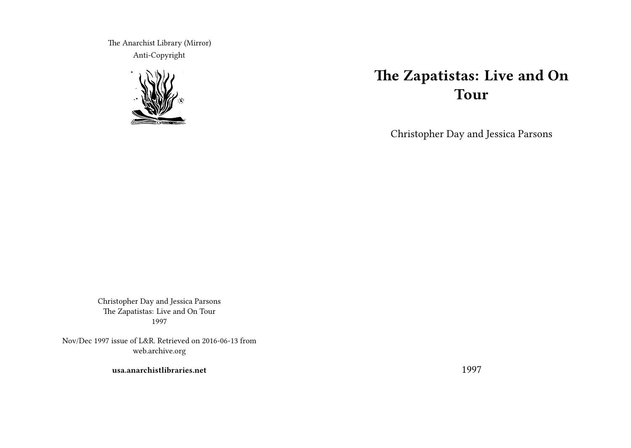The Anarchist Library (Mirror) Anti-Copyright



# **The Zapatistas: Live and On Tour**

Christopher Day and Jessica Parsons

Christopher Day and Jessica Parsons The Zapatistas: Live and On Tour 1997

Nov/Dec 1997 issue of L&R. Retrieved on 2016-06-13 from web.archive.org

**usa.anarchistlibraries.net**

1997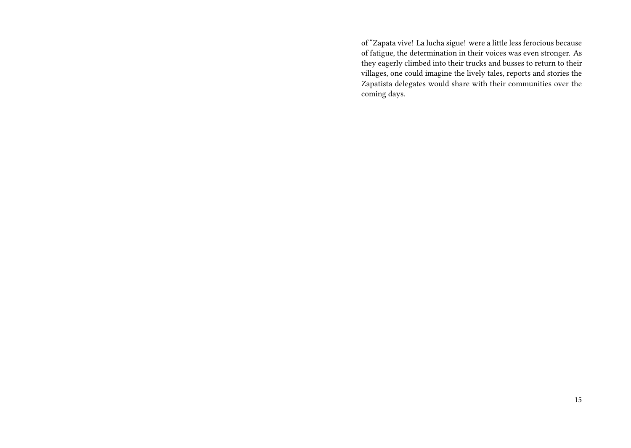of "Zapata vive! La lucha sigue! were a little less ferocious because of fatigue, the determination in their voices was even stronger. As they eagerly climbed into their trucks and busses to return to their villages, one could imagine the lively tales, reports and stories the Zapatista delegates would share with their communities over the coming days.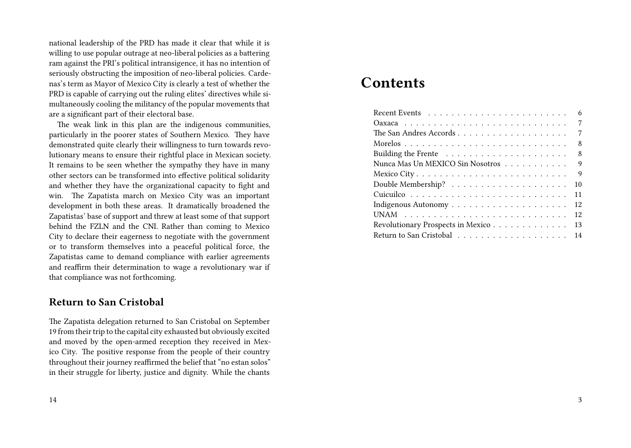national leadership of the PRD has made it clear that while it is willing to use popular outrage at neo-liberal policies as a battering ram against the PRI's political intransigence, it has no intention of seriously obstructing the imposition of neo-liberal policies. Cardenas's term as Mayor of Mexico City is clearly a test of whether the PRD is capable of carrying out the ruling elites' directives while simultaneously cooling the militancy of the popular movements that are a significant part of their electoral base.

The weak link in this plan are the indigenous communities, particularly in the poorer states of Southern Mexico. They have demonstrated quite clearly their willingness to turn towards revolutionary means to ensure their rightful place in Mexican society. It remains to be seen whether the sympathy they have in many other sectors can be transformed into effective political solidarity and whether they have the organizational capacity to fight and win. The Zapatista march on Mexico City was an important development in both these areas. It dramatically broadened the Zapatistas' base of support and threw at least some of that support behind the FZLN and the CNI. Rather than coming to Mexico City to declare their eagerness to negotiate with the government or to transform themselves into a peaceful political force, the Zapatistas came to demand compliance with earlier agreements and reaffirm their determination to wage a revolutionary war if that compliance was not forthcoming.

## **Return to San Cristobal**

The Zapatista delegation returned to San Cristobal on September 19 from their trip to the capital city exhausted but obviously excited and moved by the open-armed reception they received in Mexico City. The positive response from the people of their country throughout their journey reaffirmed the belief that "no estan solos" in their struggle for liberty, justice and dignity. While the chants

## **Contents**

| 6                                       |
|-----------------------------------------|
| 7                                       |
| 7                                       |
| 8                                       |
| 8                                       |
| Nunca Mas Un MEXICO Sin Nosotros<br>9   |
| 9                                       |
| 10                                      |
| 11                                      |
| 12                                      |
| 12                                      |
| 13<br>Revolutionary Prospects in Mexico |
| 14                                      |
|                                         |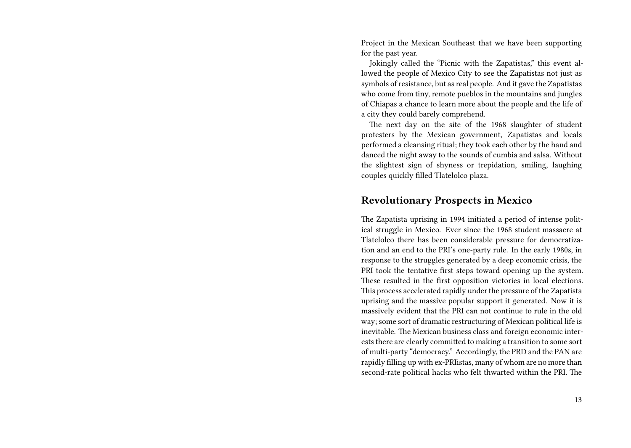Project in the Mexican Southeast that we have been supporting for the past year.

Jokingly called the "Picnic with the Zapatistas," this event allowed the people of Mexico City to see the Zapatistas not just as symbols of resistance, but as real people. And it gave the Zapatistas who come from tiny, remote pueblos in the mountains and jungles of Chiapas a chance to learn more about the people and the life of a city they could barely comprehend.

The next day on the site of the 1968 slaughter of student protesters by the Mexican government, Zapatistas and locals performed a cleansing ritual; they took each other by the hand and danced the night away to the sounds of cumbia and salsa. Without the slightest sign of shyness or trepidation, smiling, laughing couples quickly filled Tlatelolco plaza.

#### **Revolutionary Prospects in Mexico**

The Zapatista uprising in 1994 initiated a period of intense political struggle in Mexico. Ever since the 1968 student massacre at Tlatelolco there has been considerable pressure for democratization and an end to the PRI's one-party rule. In the early 1980s, in response to the struggles generated by a deep economic crisis, the PRI took the tentative first steps toward opening up the system. These resulted in the first opposition victories in local elections. This process accelerated rapidly under the pressure of the Zapatista uprising and the massive popular support it generated. Now it is massively evident that the PRI can not continue to rule in the old way; some sort of dramatic restructuring of Mexican political life is inevitable. The Mexican business class and foreign economic interests there are clearly committed to making a transition to some sort of multi-party "democracy." Accordingly, the PRD and the PAN are rapidly filling up with ex-PRIistas, many of whom are no more than second-rate political hacks who felt thwarted within the PRI. The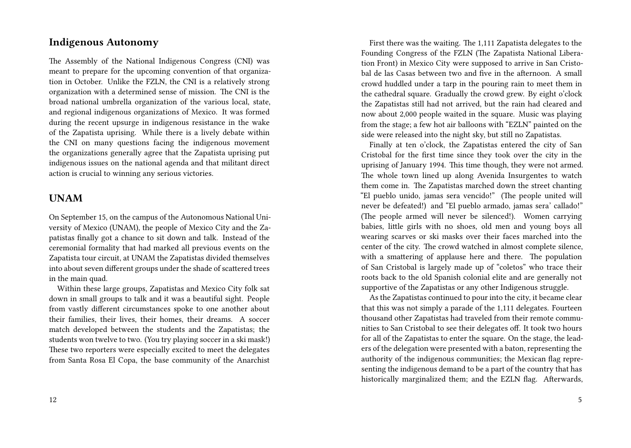#### **Indigenous Autonomy**

The Assembly of the National Indigenous Congress (CNI) was meant to prepare for the upcoming convention of that organization in October. Unlike the FZLN, the CNI is a relatively strong organization with a determined sense of mission. The CNI is the broad national umbrella organization of the various local, state, and regional indigenous organizations of Mexico. It was formed during the recent upsurge in indigenous resistance in the wake of the Zapatista uprising. While there is a lively debate within the CNI on many questions facing the indigenous movement the organizations generally agree that the Zapatista uprising put indigenous issues on the national agenda and that militant direct action is crucial to winning any serious victories.

## **UNAM**

On September 15, on the campus of the Autonomous National University of Mexico (UNAM), the people of Mexico City and the Zapatistas finally got a chance to sit down and talk. Instead of the ceremonial formality that had marked all previous events on the Zapatista tour circuit, at UNAM the Zapatistas divided themselves into about seven different groups under the shade of scattered trees in the main quad.

Within these large groups, Zapatistas and Mexico City folk sat down in small groups to talk and it was a beautiful sight. People from vastly different circumstances spoke to one another about their families, their lives, their homes, their dreams. A soccer match developed between the students and the Zapatistas; the students won twelve to two. (You try playing soccer in a ski mask!) These two reporters were especially excited to meet the delegates from Santa Rosa El Copa, the base community of the Anarchist

First there was the waiting. The 1,111 Zapatista delegates to the Founding Congress of the FZLN (The Zapatista National Liberation Front) in Mexico City were supposed to arrive in San Cristobal de las Casas between two and five in the afternoon. A small crowd huddled under a tarp in the pouring rain to meet them in the cathedral square. Gradually the crowd grew. By eight o'clock the Zapatistas still had not arrived, but the rain had cleared and now about 2,000 people waited in the square. Music was playing from the stage; a few hot air balloons with "EZLN" painted on the side were released into the night sky, but still no Zapatistas.

Finally at ten o'clock, the Zapatistas entered the city of San Cristobal for the first time since they took over the city in the uprising of January 1994. This time though, they were not armed. The whole town lined up along Avenida Insurgentes to watch them come in. The Zapatistas marched down the street chanting "El pueblo unido, jamas sera vencido!" (The people united will never be defeated!) and "El pueblo armado, jamas sera' callado!" (The people armed will never be silenced!). Women carrying babies, little girls with no shoes, old men and young boys all wearing scarves or ski masks over their faces marched into the center of the city. The crowd watched in almost complete silence, with a smattering of applause here and there. The population of San Cristobal is largely made up of "coletos" who trace their roots back to the old Spanish colonial elite and are generally not supportive of the Zapatistas or any other Indigenous struggle.

As the Zapatistas continued to pour into the city, it became clear that this was not simply a parade of the 1,111 delegates. Fourteen thousand other Zapatistas had traveled from their remote communities to San Cristobal to see their delegates off. It took two hours for all of the Zapatistas to enter the square. On the stage, the leaders of the delegation were presented with a baton, representing the authority of the indigenous communities; the Mexican flag representing the indigenous demand to be a part of the country that has historically marginalized them; and the EZLN flag. Afterwards,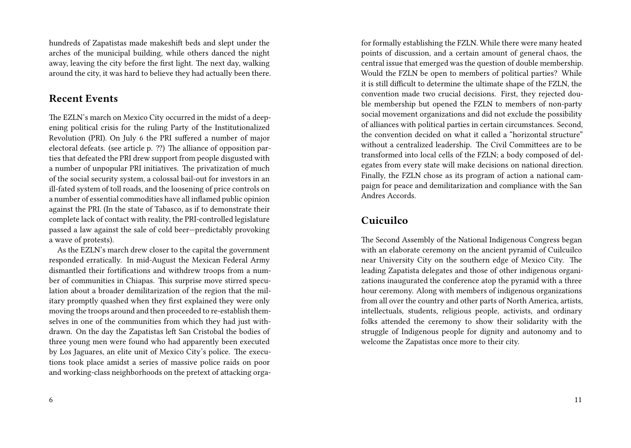hundreds of Zapatistas made makeshift beds and slept under the arches of the municipal building, while others danced the night away, leaving the city before the first light. The next day, walking around the city, it was hard to believe they had actually been there.

### **Recent Events**

The EZLN's march on Mexico City occurred in the midst of a deepening political crisis for the ruling Party of the Institutionalized Revolution (PRI). On July 6 the PRI suffered a number of major electoral defeats. (see article p. ??) The alliance of opposition parties that defeated the PRI drew support from people disgusted with a number of unpopular PRI initiatives. The privatization of much of the social security system, a colossal bail-out for investors in an ill-fated system of toll roads, and the loosening of price controls on a number of essential commodities have all inflamed public opinion against the PRI. (In the state of Tabasco, as if to demonstrate their complete lack of contact with reality, the PRI-controlled legislature passed a law against the sale of cold beer—predictably provoking a wave of protests).

As the EZLN's march drew closer to the capital the government responded erratically. In mid-August the Mexican Federal Army dismantled their fortifications and withdrew troops from a number of communities in Chiapas. This surprise move stirred speculation about a broader demilitarization of the region that the military promptly quashed when they first explained they were only moving the troops around and then proceeded to re-establish themselves in one of the communities from which they had just withdrawn. On the day the Zapatistas left San Cristobal the bodies of three young men were found who had apparently been executed by Los Jaguares, an elite unit of Mexico City's police. The executions took place amidst a series of massive police raids on poor and working-class neighborhoods on the pretext of attacking orgafor formally establishing the FZLN. While there were many heated points of discussion, and a certain amount of general chaos, the central issue that emerged was the question of double membership. Would the FZLN be open to members of political parties? While it is still difficult to determine the ultimate shape of the FZLN, the convention made two crucial decisions. First, they rejected double membership but opened the FZLN to members of non-party social movement organizations and did not exclude the possibility of alliances with political parties in certain circumstances. Second, the convention decided on what it called a "horizontal structure" without a centralized leadership. The Civil Committees are to be transformed into local cells of the FZLN; a body composed of delegates from every state will make decisions on national direction. Finally, the FZLN chose as its program of action a national campaign for peace and demilitarization and compliance with the San Andres Accords.

## **Cuicuilco**

The Second Assembly of the National Indigenous Congress began with an elaborate ceremony on the ancient pyramid of Cuilcuilco near University City on the southern edge of Mexico City. The leading Zapatista delegates and those of other indigenous organizations inaugurated the conference atop the pyramid with a three hour ceremony. Along with members of indigenous organizations from all over the country and other parts of North America, artists, intellectuals, students, religious people, activists, and ordinary folks attended the ceremony to show their solidarity with the struggle of Indigenous people for dignity and autonomy and to welcome the Zapatistas once more to their city.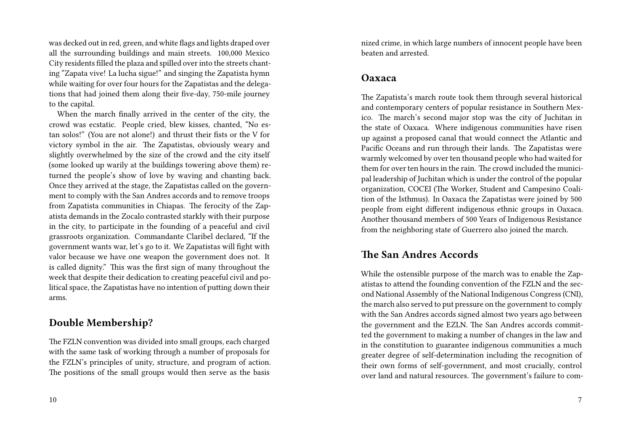was decked out in red, green, and white flags and lights draped over all the surrounding buildings and main streets. 100,000 Mexico City residents filled the plaza and spilled over into the streets chanting "Zapata vive! La lucha sigue!" and singing the Zapatista hymn while waiting for over four hours for the Zapatistas and the delegations that had joined them along their five-day, 750-mile journey to the capital.

When the march finally arrived in the center of the city, the crowd was ecstatic. People cried, blew kisses, chanted, "No estan solos!" (You are not alone!) and thrust their fists or the V for victory symbol in the air. The Zapatistas, obviously weary and slightly overwhelmed by the size of the crowd and the city itself (some looked up warily at the buildings towering above them) returned the people's show of love by waving and chanting back. Once they arrived at the stage, the Zapatistas called on the government to comply with the San Andres accords and to remove troops from Zapatista communities in Chiapas. The ferocity of the Zapatista demands in the Zocalo contrasted starkly with their purpose in the city, to participate in the founding of a peaceful and civil grassroots organization. Commandante Claribel declared, "If the government wants war, let's go to it. We Zapatistas will fight with valor because we have one weapon the government does not. It is called dignity." This was the first sign of many throughout the week that despite their dedication to creating peaceful civil and political space, the Zapatistas have no intention of putting down their arms.

#### **Double Membership?**

The FZLN convention was divided into small groups, each charged with the same task of working through a number of proposals for the FZLN's principles of unity, structure, and program of action. The positions of the small groups would then serve as the basis

nized crime, in which large numbers of innocent people have been beaten and arrested.

#### **Oaxaca**

The Zapatista's march route took them through several historical and contemporary centers of popular resistance in Southern Mexico. The march's second major stop was the city of Juchitan in the state of Oaxaca. Where indigenous communities have risen up against a proposed canal that would connect the Atlantic and Pacific Oceans and run through their lands. The Zapatistas were warmly welcomed by over ten thousand people who had waited for them for over ten hours in the rain. The crowd included the municipal leadership of Juchitan which is under the control of the popular organization, COCEI (The Worker, Student and Campesino Coalition of the Isthmus). In Oaxaca the Zapatistas were joined by 500 people from eight different indigenous ethnic groups in Oaxaca. Another thousand members of 500 Years of Indigenous Resistance from the neighboring state of Guerrero also joined the march.

## **The San Andres Accords**

While the ostensible purpose of the march was to enable the Zapatistas to attend the founding convention of the FZLN and the second National Assembly of the National Indigenous Congress (CNI), the march also served to put pressure on the government to comply with the San Andres accords signed almost two years ago between the government and the EZLN. The San Andres accords committed the government to making a number of changes in the law and in the constitution to guarantee indigenous communities a much greater degree of self-determination including the recognition of their own forms of self-government, and most crucially, control over land and natural resources. The government's failure to com-